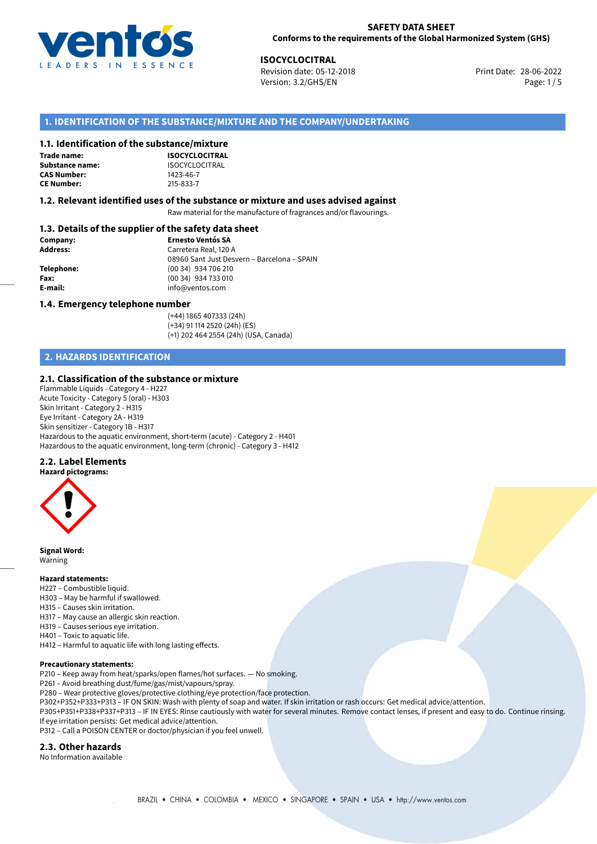

#### **SAFETY DATA SHEET Conforms to the requirements of the Global Harmonized System (GHS)**

**ISOCYCLOCITRAL**<br>
Revision date: 05-12-2018 **Print Date: 28-06-2022** Version: 3.2/GHS/EN Page: 1/5

## **1. IDENTIFICATION OF THE SUBSTANCE/MIXTURE AND THE COMPANY/UNDERTAKING**

### **1.1. Identification of the substance/mixture**

**Trade name: Substance name:** ISOCYCLOCITRAL<br> **CAS Number:** 1423-46-7 **CAS Number: CE Number:** 215-833-7

**ISOCYCLOCITRAL**

#### **1.2. Relevant identified uses of the substance or mixture and uses advised against**

Raw material for the manufacture of fragrances and/or flavourings.

### **1.3. Details of the supplier of the safety data sheet**

| Company:        | <b>Ernesto Ventós SA</b>                    |  |
|-----------------|---------------------------------------------|--|
| <b>Address:</b> | Carretera Real, 120 A                       |  |
|                 | 08960 Sant Just Desvern – Barcelona – SPAIN |  |
| Telephone:      | (00 34) 934 706 210                         |  |
| Fax:            | (00 34) 934 733 010                         |  |
| E-mail:         | info@ventos.com                             |  |
|                 |                                             |  |

#### **1.4. Emergency telephone number**

(+44) 1865 407333 (24h) (+34) 91 114 2520 (24h) (ES) (+1) 202 464 2554 (24h) (USA, Canada)

## **2. HAZARDS IDENTIFICATION**

### **2.1. Classification of the substance or mixture**

Flammable Liquids - Category 4 - H227 Acute Toxicity - Category 5 (oral) - H303 Skin Irritant - Category 2 - H315 Eye Irritant - Category 2A - H319 Skin sensitizer - Category 1B - H317 Hazardous to the aquatic environment, short-term (acute) - Category 2 - H401 Hazardous to the aquatic environment, long-term (chronic) - Category 3 - H412

### **2.2. Label Elements**



**Signal Word:** Warning

#### **Hazard statements:**

- H227 Combustible liquid.
- H303 May be harmful if swallowed.
- H315 Causes skin irritation.
- H317 May cause an allergic skin reaction.
- H319 Causes serious eye irritation.
- H401 Toxic to aquatic life.
- H412 Harmful to aquatic life with long lasting effects.

#### **Precautionary statements:**

P210 – Keep away from heat/sparks/open flames/hot surfaces. — No smoking.

- P261 Avoid breathing dust/fume/gas/mist/vapours/spray.
- P280 Wear protective gloves/protective clothing/eye protection/face protection.
- P302+P352+P333+P313 IF ON SKIN: Wash with plenty of soap and water. If skin irritation or rash occurs: Get medical advice/attention.
- P305+P351+P338+P337+P313 IF IN EYES: Rinse cautiously with water for several minutes. Remove contact lenses, if present and easy to do. Continue rinsing. If eye irritation persists: Get medical advice/attention.

P312 – Call a POISON CENTER or doctor/physician if you feel unwell.

#### **2.3. Other hazards**

No Information available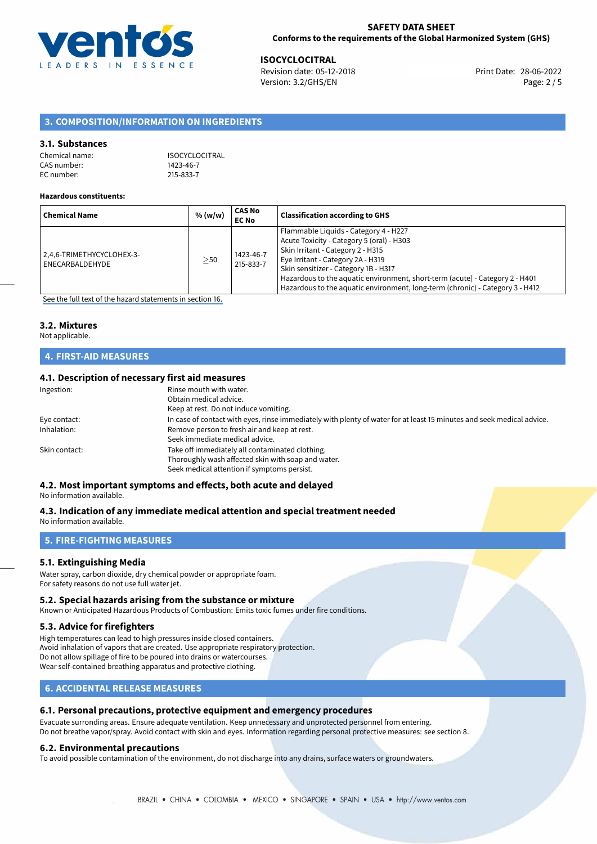

**ISOCYCLOCITRAL**<br>
Revision date: 05-12-2018 **Print Date: 28-06-2022** Version: 3.2/GHS/EN Page: 2 / 5

## **3. COMPOSITION/INFORMATION ON INGREDIENTS**

#### **3.1. Substances**

| Chemical name: | <b>ISOCYCLOCITRAL</b> |
|----------------|-----------------------|
| CAS number:    | 1423-46-7             |
| EC number:     | 215-833-7             |

#### **Hazardous constituents:**

| <b>Chemical Name</b>                         | % (w/w)   | CAS No<br><b>EC No</b> | <b>Classification according to GHS</b>                                                                                                                                                                                                                                                                                                                                |
|----------------------------------------------|-----------|------------------------|-----------------------------------------------------------------------------------------------------------------------------------------------------------------------------------------------------------------------------------------------------------------------------------------------------------------------------------------------------------------------|
| 2,4,6-TRIMETHYCYCLOHEX-3-<br>ENECARBALDEHYDE | $\geq$ 50 | 1423-46-7<br>215-833-7 | Flammable Liquids - Category 4 - H227<br>Acute Toxicity - Category 5 (oral) - H303<br>Skin Irritant - Category 2 - H315<br>Eye Irritant - Category 2A - H319<br>Skin sensitizer - Category 1B - H317<br>Hazardous to the aquatic environment, short-term (acute) - Category 2 - H401<br>Hazardous to the aquatic environment, long-term (chronic) - Category 3 - H412 |

[See the full text of the hazard statements in section 16.](#page-4-0)

#### **3.2. Mixtures**

Not applicable.

## **4. FIRST-AID MEASURES**

### **4.1. Description of necessary first aid measures**

| Ingestion:    | Rinse mouth with water.<br>Obtain medical advice.<br>Keep at rest. Do not induce vomiting.                                                           |
|---------------|------------------------------------------------------------------------------------------------------------------------------------------------------|
| Eye contact:  | In case of contact with eyes, rinse immediately with plenty of water for at least 15 minutes and seek medical advice.                                |
| Inhalation:   | Remove person to fresh air and keep at rest.<br>Seek immediate medical advice.                                                                       |
| Skin contact: | Take off immediately all contaminated clothing.<br>Thoroughly wash affected skin with soap and water.<br>Seek medical attention if symptoms persist. |

### **4.2. Most important symptoms and effects, both acute and delayed**

No information available.

#### **4.3. Indication of any immediate medical attention and special treatment needed** No information available.

## **5. FIRE-FIGHTING MEASURES**

#### **5.1. Extinguishing Media**

Water spray, carbon dioxide, dry chemical powder or appropriate foam. For safety reasons do not use full water jet.

#### **5.2. Special hazards arising from the substance or mixture**

Known or Anticipated Hazardous Products of Combustion: Emits toxic fumes under fire conditions.

#### **5.3. Advice for firefighters**

High temperatures can lead to high pressures inside closed containers. Avoid inhalation of vapors that are created. Use appropriate respiratory protection. Do not allow spillage of fire to be poured into drains or watercourses. Wear self-contained breathing apparatus and protective clothing.

## **6. ACCIDENTAL RELEASE MEASURES**

### **6.1. Personal precautions, protective equipment and emergency procedures**

Evacuate surronding areas. Ensure adequate ventilation. Keep unnecessary and unprotected personnel from entering. Do not breathe vapor/spray. Avoid contact with skin and eyes. Information regarding personal protective measures: see section 8.

#### **6.2. Environmental precautions**

To avoid possible contamination of the environment, do not discharge into any drains, surface waters or groundwaters.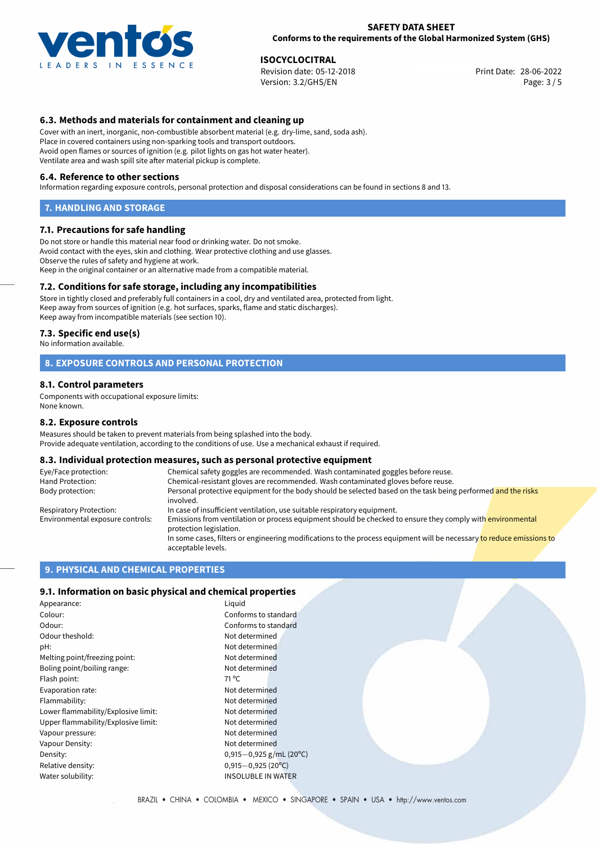

#### **SAFETY DATA SHEET Conforms to the requirements of the Global Harmonized System (GHS)**

**ISOCYCLOCITRAL**<br>
Revision date: 05-12-2018 **Print Date: 28-06-2022** Version: 3.2/GHS/EN Page: 3 / 5

## **6.3. Methods and materials for containment and cleaning up**

Cover with an inert, inorganic, non-combustible absorbent material (e.g. dry-lime, sand, soda ash). Place in covered containers using non-sparking tools and transport outdoors. Avoid open flames or sources of ignition (e.g. pilot lights on gas hot water heater). Ventilate area and wash spill site after material pickup is complete.

#### **6.4. Reference to other sections**

Information regarding exposure controls, personal protection and disposal considerations can be found in sections 8 and 13.

#### **7. HANDLING AND STORAGE**

#### **7.1. Precautions for safe handling**

Do not store or handle this material near food or drinking water. Do not smoke. Avoid contact with the eyes, skin and clothing. Wear protective clothing and use glasses. Observe the rules of safety and hygiene at work. Keep in the original container or an alternative made from a compatible material.

### **7.2. Conditions for safe storage, including any incompatibilities**

Store in tightly closed and preferably full containers in a cool, dry and ventilated area, protected from light. Keep away from sources of ignition (e.g. hot surfaces, sparks, flame and static discharges). Keep away from incompatible materials (see section 10).

#### **7.3. Specific end use(s)**

No information available.

### **8. EXPOSURE CONTROLS AND PERSONAL PROTECTION**

#### **8.1. Control parameters**

Components with occupational exposure limits: None known.

#### **8.2. Exposure controls**

Measures should be taken to prevent materials from being splashed into the body. Provide adequate ventilation, according to the conditions of use. Use a mechanical exhaust if required.

#### **8.3. Individual protection measures, such as personal protective equipment**

| Eye/Face protection:             | Chemical safety goggles are recommended. Wash contaminated goggles before reuse.                                                            |
|----------------------------------|---------------------------------------------------------------------------------------------------------------------------------------------|
| Hand Protection:                 | Chemical-resistant gloves are recommended. Wash contaminated gloves before reuse.                                                           |
| Body protection:                 | Personal protective equipment for the body should be selected based on the task being performed and the risks<br>involved.                  |
| Respiratory Protection:          | In case of insufficient ventilation, use suitable respiratory equipment.                                                                    |
| Environmental exposure controls: | Emissions from ventilation or process equipment should be checked to ensure they comply with environmental<br>protection legislation.       |
|                                  | In some cases, filters or engineering modifications to the process equipment will be necessary to reduce emissions to<br>acceptable levels. |

#### **9. PHYSICAL AND CHEMICAL PROPERTIES**

### **9.1. Information on basic physical and chemical properties**

| Appearance:                         | Liguid                    |
|-------------------------------------|---------------------------|
| Colour:                             | Conforms to standard      |
| Odour:                              | Conforms to standard      |
| Odour theshold:                     | Not determined            |
| pH:                                 | Not determined            |
| Melting point/freezing point:       | Not determined            |
| Boling point/boiling range:         | Not determined            |
| Flash point:                        | $71^{\circ}$ C            |
| Evaporation rate:                   | Not determined            |
| Flammability:                       | Not determined            |
| Lower flammability/Explosive limit: | Not determined            |
| Upper flammability/Explosive limit: | Not determined            |
| Vapour pressure:                    | Not determined            |
| Vapour Density:                     | Not determined            |
| Density:                            | $0,915-0,925$ g/mL (20°C) |
| Relative density:                   | $0,915 - 0,925$ (20°C)    |
| Water solubility:                   | <b>INSOLUBLE IN WATER</b> |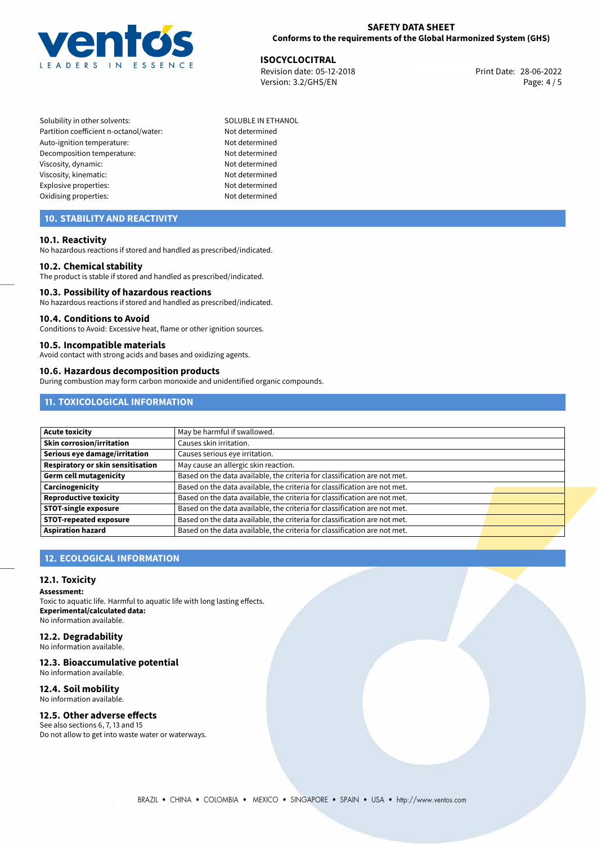

### **SAFETY DATA SHEET Conforms to the requirements of the Global Harmonized System (GHS)**

**ISOCYCLOCITRAL**<br>
Revision date: 05-12-2018<br> **Print Date: 28-06-2022** Revision date: 05-12-2018 Version: 3.2/GHS/EN Page: 4 / 5

Solubility in other solvents: SOLUBLE IN ETHANOL Partition coefficient n-octanol/water: Not determined Auto-ignition temperature: Not determined Decomposition temperature: Not determined Viscosity, dynamic: Not determined Viscosity, kinematic: Not determined Explosive properties: Not determined Oxidising properties: Not determined

## **10. STABILITY AND REACTIVITY**

#### **10.1. Reactivity**

No hazardous reactions if stored and handled as prescribed/indicated.

#### **10.2. Chemical stability**

The product is stable if stored and handled as prescribed/indicated.

#### **10.3. Possibility of hazardous reactions**

No hazardous reactions if stored and handled as prescribed/indicated.

#### **10.4. Conditions to Avoid**

Conditions to Avoid: Excessive heat, flame or other ignition sources.

#### **10.5. Incompatible materials**

Avoid contact with strong acids and bases and oxidizing agents.

### **10.6. Hazardous decomposition products**

During combustion may form carbon monoxide and unidentified organic compounds.

## **11. TOXICOLOGICAL INFORMATION**

| <b>Acute toxicity</b>             | May be harmful if swallowed.                                              |  |
|-----------------------------------|---------------------------------------------------------------------------|--|
| <b>Skin corrosion/irritation</b>  | Causes skin irritation.                                                   |  |
| Serious eye damage/irritation     | Causes serious eye irritation.                                            |  |
| Respiratory or skin sensitisation | May cause an allergic skin reaction.                                      |  |
| Germ cell mutagenicity            | Based on the data available, the criteria for classification are not met. |  |
| Carcinogenicity                   | Based on the data available, the criteria for classification are not met. |  |
| <b>Reproductive toxicity</b>      | Based on the data available, the criteria for classification are not met. |  |
| <b>STOT-single exposure</b>       | Based on the data available, the criteria for classification are not met. |  |
| <b>STOT-repeated exposure</b>     | Based on the data available, the criteria for classification are not met. |  |
| <b>Aspiration hazard</b>          | Based on the data available, the criteria for classification are not met. |  |

## **12. ECOLOGICAL INFORMATION**

### **12.1. Toxicity**

**Assessment:**

Toxic to aquatic life. Harmful to aquatic life with long lasting effects. **Experimental/calculated data:** No information available.

## **12.2. Degradability**

No information available.

## **12.3. Bioaccumulative potential**

No information available.

## **12.4. Soil mobility**

No information available.

## **12.5. Other adverse effects**

See also sections 6, 7, 13 and 15 Do not allow to get into waste water or waterways.